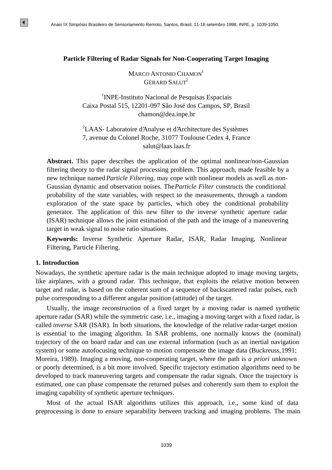## **Particle Filtering of Radar Signals for Non-Cooperating Target Imaging**

MARCO ANTONIO CHAMON<sup>1</sup>  $G$ ÉRARD SALUT<sup>2</sup>

<sup>1</sup>INPE-Instituto Nacional de Pesquisas Espaciais Caixa Postal 515, 12201-097 São José dos Campos, SP, Brasil chamon@dea.inpe.br

<sup>2</sup>LAAS- Laboratoire d'Analyse et d'Architecture des Systèmes 7, avenue du Colonel Roche, 31077 Toulouse Cedex 4, France salut@laas.laas.fr

**Abstract.** This paper describes the application of the optimal nonlinear/non-Gaussian filtering theory to the radar signal processing problem. This approach, made feasible by a new technique named *Particle Filtering*, may cope with nonlinear models as well as non-Gaussian dynamic and observation noises. The *Particle Filter* constructs the conditional probability of the state variables, with respect to the measurements, through a random exploration of the state space by particles, which obey the conditional probability generator. The application of this new filter to the inverse synthetic aperture radar (ISAR) technique allows the joint estimation of the path and the image of a maneuvering target in weak signal to noise ratio situations.

**Keywords:** Inverse Synthetic Aperture Radar, ISAR, Radar Imaging, Nonlinear Filtering, Particle Filtering.

#### **1. Introduction**

 $\vert \vert \vert$ 

Nowadays, the synthetic aperture radar is the main technique adopted to image moving targets, like airplanes, with a ground radar. This technique, that exploits the relative motion between target and radar, is based on the coherent sum of a sequence of backscattered radar pulses, each pulse corresponding to a different angular position (attitude) of the target.

Usually, the image reconstruction of a fixed target by a moving radar is named synthetic aperture radar (SAR) while the symmetric case, i.e., imaging a moving target with a fixed radar, is called *inverse* SAR (ISAR). In both situations, the knowledge of the relative radar-target motion is essential to the imaging algorithm. In SAR problems, one normally knows the (nominal) trajectory of the on board radar and can use external information (such as an inertial navigation system) or some autofocusing technique to motion compensate the image data (Buckreuss, 1991; Moreira, 1989). Imaging a moving, non-cooperating target, where the path is *a priori* unknown or poorly determined, is a bit more involved. Specific trajectory estimation algorithms need to be developed to track maneuvering targets and compensate the radar signals. Once the trajectory is estimated, one can phase compensate the returned pulses and coherently sum them to exploit the imaging capability of synthetic aperture techniques. **Particle Filtering of Ratar Simples Simples Sensoriamento Remote, Santo Brasil, 11-18 setembro 1998 Particle Filtering of Radar Sigmals for Non-Cooperating Target Imaging MacRO ANTONIO NEAMON CHANGEN (Control de Preguiss** 

Most of the actual ISAR algorithms utilizes this approach, i.e., some kind of data preprocessing is done to ensure separability between tracking and imaging problems. The main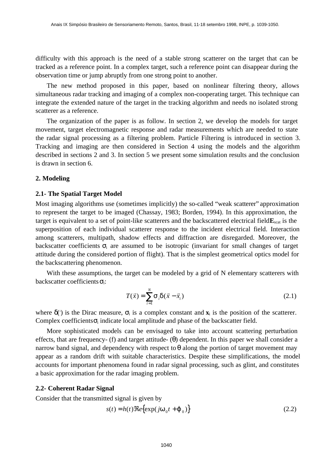difficulty with this approach is the need of a stable strong scatterer on the target that can be tracked as a reference point. In a complex target, such a reference point can disappear during the observation time or jump abruptly from one strong point to another.

The new method proposed in this paper, based on nonlinear filtering theory, allows simultaneous radar tracking and imaging of a complex non-cooperating target. This technique can integrate the extended nature of the target in the tracking algorithm and needs no isolated strong scatterer as a reference.

The organization of the paper is as follow. In section 2, we develop the models for target movement, target electromagnetic response and radar measurements which are needed to state the radar signal processing as a filtering problem. Particle Filtering is introduced in section 3. Tracking and imaging are then considered in Section 4 using the models and the algorithm described in sections 2 and 3. In section 5 we present some simulation results and the conclusion is drawn in section 6.

## **2. Modeling**

#### **2.1- The Spatial Target Model**

Most imaging algorithms use (sometimes implicitly) the so-called "weak scatterer" approximation to represent the target to be imaged (Chassay, 1983; Borden, 1994). In this approximation, the target is equivalent to a set of point-like scatterers and the backscattered electrical field **E**<sub>scat</sub> is the superposition of each individual scatterer response to the incident electrical field. Interaction among scatterers, multipath, shadow effects and diffraction are disregarded. Moreover, the backscatter coefficients  $\sigma_i$  are assumed to be isotropic (invariant for small changes of target attitude during the considered portion of flight). That is the simplest geometrical optics model for the backscattering phenomenon.

With these assumptions, the target can be modeled by a grid of N elementary scatterers with backscatter coefficients  $\sigma_i$ :

$$
T(\vec{x}) = \sum_{i=1}^{N} \mathbf{s}_i \mathbf{d}\vec{x} - \vec{x}_i)
$$
 (2.1)

where  $\delta$ ( $\cdot$ ) is the Dirac measure,  $\sigma_i$  is a complex constant and  $\mathbf{x}_i$  is the position of the scatterer. Complex coefficients  $\sigma_i$  indicate local amplitude and phase of the backscatter field.

More sophisticated models can be envisaged to take into account scattering perturbation effects, that are frequency- (f) and target attitude-  $(\theta)$  dependent. In this paper we shall consider a narrow band signal, and dependency with respect to  $\theta$  along the portion of target movement may appear as a random drift with suitable characteristics. Despite these simplifications, the model accounts for important phenomena found in radar signal processing, such as glint, and constitutes a basic approximation for the radar imaging problem.

#### **2.2- Coherent Radar Signal**

Consider that the transmitted signal is given by

$$
s(t) = h(t)\Re\{ \exp(j\mathbf{w}_0 t + \mathbf{j}_0) \}
$$
 (2.2)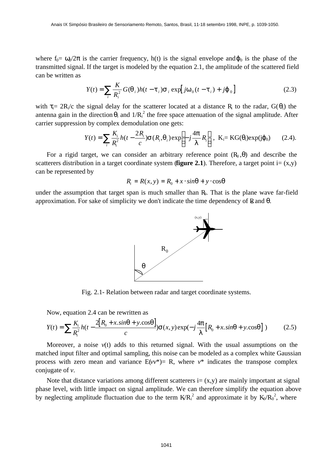where  $f_0 = \omega_0/2\pi$  is the carrier frequency, h(t) is the signal envelope and  $\omega_0$  is the phase of the transmitted signal. If the target is modeled by the equation 2.1, the amplitude of the scattered field can be written as

$$
Y(t) = \sum_{i} \frac{K}{R_i^2} G(\mathbf{q}_i) h(t - \mathbf{t}_i) \mathbf{s}_i \exp[j\mathbf{w}_0(t - \mathbf{t}_i) + j\mathbf{j}_0]
$$
 (2.3)

with  $\tau_i= 2R_i/c$  the signal delay for the scatterer located at a distance R<sub>i</sub> to the radar, G( $\theta_i$ ) the antenna gain in the direction  $\theta_i$  and  $1/R_i^2$  the free space attenuation of the signal amplitude. After carrier suppression by complex demodulation one gets:

$$
Y(t) = \sum_{i} \frac{K_i}{R_i^2} h(t - \frac{2R_i}{c}) \mathbf{S}(R_i, \mathbf{q}_i) \exp\left[-j\frac{4\mathbf{p}}{I}R_i\right], \ \ \mathrm{K}_i = \mathrm{KG}(\theta_i) \exp(j\phi_0) \qquad (2.4).
$$

For a rigid target, we can consider an arbitrary reference point  $(R_0, \theta)$  and describe the scatterers distribution in a target coordinate system (**figure 2.1**). Therefore, a target point  $i = (x,y)$ can be represented by

$$
R_i = R(x, y) = R_0 + x \cdot \sin q + y \cdot \cos q
$$

under the assumption that target span is much smaller than  $R<sub>0</sub>$ . That is the plane wave far-field approximation. For sake of simplicity we don't indicate the time dependency of  $\mathbb R$  and  $\theta$ .



Fig. 2.1- Relation between radar and target coordinate systems.

Now, equation 2.4 can be rewritten as

$$
Y(t) = \sum \frac{K_i}{R_i^2} h(t - \frac{2[R_0 + x \cdot \sin q + y \cdot \cos q]}{c}) \mathbf{s}(x, y) \exp(-j\frac{4p}{I}[R_0 + x \cdot \sin q + y \cdot \cos q]) \tag{2.5}
$$

Moreover, a noise  $v(t)$  adds to this returned signal. With the usual assumptions on the matched input filter and optimal sampling, this noise can be modeled as a complex white Gaussian process with zero mean and variance  $E(vv^*) = R$ , where  $v^*$  indicates the transpose complex conjugate of *v*.

Note that distance variations among different scatterers  $i = (x,y)$  are mainly important at signal phase level, with little impact on signal amplitude. We can therefore simplify the equation above by neglecting amplitude fluctuation due to the term  $K/R_i^2$  and approximate it by  $K_0/R_0^2$ , where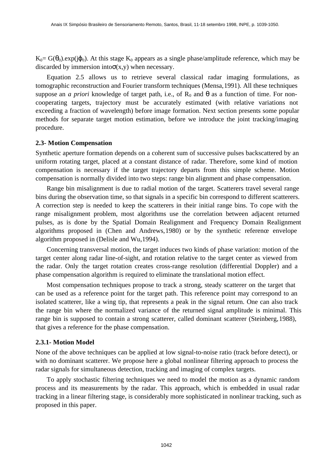$K_0 = G(\theta_0)$ .exp(j $\varphi_0$ ). At this stage  $K_0$  appears as a single phase/amplitude reference, which may be discarded by immersion into  $\sigma(x,y)$  when necessary.

Equation 2.5 allows us to retrieve several classical radar imaging formulations, as tomographic reconstruction and Fourier transform techniques (Mensa, 1991). All these techniques suppose an *a priori* knowledge of target path, i.e., of  $R_0$  and  $\theta$  as a function of time. For noncooperating targets, trajectory must be accurately estimated (with relative variations not exceeding a fraction of wavelength) before image formation. Next section presents some popular methods for separate target motion estimation, before we introduce the joint tracking/imaging procedure.

## **2.3- Motion Compensation**

Synthetic aperture formation depends on a coherent sum of successive pulses backscattered by an uniform rotating target, placed at a constant distance of radar. Therefore, some kind of motion compensation is necessary if the target trajectory departs from this simple scheme. Motion compensation is normally divided into two steps: range bin alignment and phase compensation.

Range bin misalignment is due to radial motion of the target. Scatterers travel several range bins during the observation time, so that signals in a specific bin correspond to different scatterers. A correction step is needed to keep the scatterers in their initial range bins. To cope with the range misalignment problem, most algorithms use the correlation between adjacent returned pulses, as is done by the Spatial Domain Realignment and Frequency Domain Realignment algorithms proposed in (Chen and Andrews, 1980) or by the synthetic reference envelope algorithm proposed in (Delisle and Wu, 1994).

Concerning transversal motion, the target induces two kinds of phase variation: motion of the target center along radar line-of-sight, and rotation relative to the target center as viewed from the radar. Only the target rotation creates cross-range resolution (differential Doppler) and a phase compensation algorithm is required to eliminate the translational motion effect.

Most compensation techniques propose to track a strong, steady scatterer on the target that can be used as a reference point for the target path. This reference point may correspond to an isolated scatterer, like a wing tip, that represents a peak in the signal return. One can also track the range bin where the normalized variance of the returned signal amplitude is minimal. This range bin is supposed to contain a strong scatterer, called dominant scatterer (Steinberg, 1988), that gives a reference for the phase compensation.

## **2.3.1- Motion Model**

None of the above techniques can be applied at low signal-to-noise ratio (track before detect), or with no dominant scatterer. We propose here a global nonlinear filtering approach to process the radar signals for simultaneous detection, tracking and imaging of complex targets.

To apply stochastic filtering techniques we need to model the motion as a dynamic random process and its measurements by the radar. This approach, which is embedded in usual radar tracking in a linear filtering stage, is considerably more sophisticated in nonlinear tracking, such as proposed in this paper.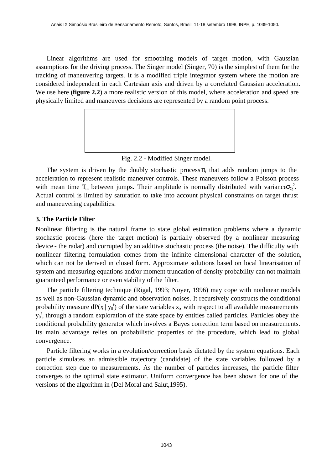Linear algorithms are used for smoothing models of target motion, with Gaussian assumptions for the driving process. The Singer model (Singer, 70) is the simplest of them for the tracking of maneuvering targets. It is a modified triple integrator system where the motion are considered independent in each Cartesian axis and driven by a correlated Gaussian acceleration. We use here (**figure 2.2**) a more realistic version of this model, where acceleration and speed are physically limited and maneuvers decisions are represented by a random point process.



Fig. 2.2 - Modified Singer model.

The system is driven by the doubly stochastic process  $\pi_t$  that adds random jumps to the acceleration to represent realistic maneuver controls. These maneuvers follow a Poisson process with mean time  $T_m$  between jumps. Their amplitude is normally distributed with variance $\sigma_Q^2$ . Actual control is limited by saturation to take into account physical constraints on target thrust and maneuvering capabilities.

# **3. The Particle Filter**

Nonlinear filtering is the natural frame to state global estimation problems where a dynamic stochastic process (here the target motion) is partially observed (by a nonlinear measuring device - the radar) and corrupted by an additive stochastic process (the noise). The difficulty with nonlinear filtering formulation comes from the infinite dimensional character of the solution, which can not be derived in closed form. Approximate solutions based on local linearisation of system and measuring equations and/or moment truncation of density probability can not maintain guaranteed performance or even stability of the filter.

The particle filtering technique (Rigal, 1993; Noyer, 1996) may cope with nonlinear models as well as non-Gaussian dynamic and observation noises. It recursively constructs the conditional probability measure dP( $x | y_0$ <sup>t</sup>) of the state variables  $x_t$ , with respect to all available measurements  $y_0$ <sup>t</sup>, through a random exploration of the state space by entities called particles. Particles obey the conditional probability generator which involves a Bayes correction term based on measurements. Its main advantage relies on probabilistic properties of the procedure, which lead to global convergence.

Particle filtering works in a evolution/correction basis dictated by the system equations. Each particle simulates an admissible trajectory (candidate) of the state variables followed by a correction step due to measurements. As the number of particles increases, the particle filter converges to the optimal state estimator. Uniform convergence has been shown for one of the versions of the algorithm in (Del Moral and Salut, 1995).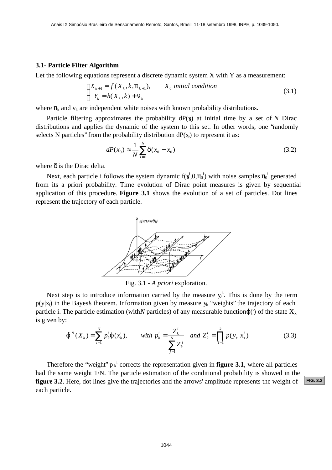#### **3.1- Particle Filter Algorithm**

Let the following equations represent a discrete dynamic system X with Y as a measurement:

$$
\begin{cases} X_{k+1} = f(X_k, k, \mathbf{p}_{k+1}), & X_0 \text{ initial condition} \\ Y_k = h(X_k, k) + \mathbf{n}_k \end{cases}
$$
 (3.1)

where  $\pi_k$  and  $v_k$  are independent white noises with known probability distributions.

Particle filtering approximates the probability  $dP(x)$  at initial time by a set of *N* Dirac distributions and applies the dynamic of the system to this set. In other words, one "randomly selects N particles" from the probability distribution  $dP(x_0)$  to represent it as:

$$
dP(x_0) \approx \frac{1}{N} \sum_{i=1}^{N} \mathbf{d}(x_0 - x_0^i)
$$
 (3.2)

where  $\delta$  is the Dirac delta.

Next, each particle i follows the system dynamic  $f(x^i, 0, \pi_0)$  with noise samples  $\pi_0^i$  generated from its a priori probability. Time evolution of Dirac point measures is given by sequential application of this procedure. **Figure 3.1** shows the evolution of a set of particles. Dot lines represent the trajectory of each particle.



Fig. 3.1 - *A priori* exploration.

Next step is to introduce information carried by the measure  $y<sup>k</sup>$ . This is done by the term  $p(y|x_i)$  in the Bayes's theorem. Information given by measure  $y_k$  "weights" the trajectory of each particle i. The particle estimation (with *N* particles) of any measurable function  $\varphi$  ( $\circ$ ) of the state  $X_k$ is given by:

$$
\mathbf{\hat{J}}^{N}(X_{k}) = \sum_{i=1}^{N} p_{k}^{i} \mathbf{\hat{J}}(x_{k}^{i}), \quad \text{with } p_{k}^{i} = \frac{Z_{k}^{i}}{\sum_{j=1}^{N} Z_{k}^{j}} \text{ and } Z_{k}^{i} = \prod_{t=1}^{k} p(y_{t} | x_{t}^{i})
$$
(3.3)

Therefore the "weight"  $p_k$ <sup>i</sup> corrects the representation given in **figure 3.1**, where all particles had the same weight 1/N. The particle estimation of the conditional probability is showed in the **figure 3.2**. Here, dot lines give the trajectories and the arrows' amplitude represents the weight of each particle.

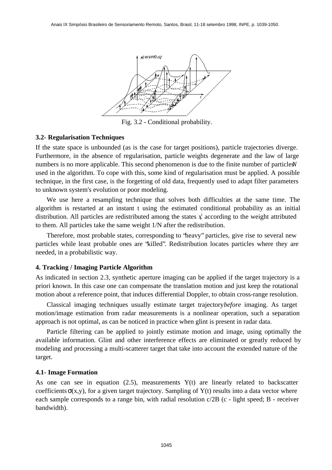<span id="page-6-0"></span>

Fig. 3.2 - Conditional probability.

#### **3.2- Regularisation Techniques**

If the state space is unbounded (as is the case for target positions), particle trajectories diverge. Furthermore, in the absence of regularisation, particle weights degenerate and the law of large numbers is no more applicable. This second phenomenon is due to the finite number of particles *N* used in the algorithm. To cope with this, some kind of regularisation must be applied. A possible technique, in the first case, is the forgetting of old data, frequently used to adapt filter parameters to unknown system's evolution or poor modeling.

We use here a resampling technique that solves both difficulties at the same time. The algorithm is restarted at an instant t using the estimated conditional probability as an initial distribution. All particles are redistributed among the states  $x^i$  according to the weight attributed to them. All particles take the same weight 1/N after the redistribution.

Therefore, most probable states, corresponding to "heavy" particles, give rise to several new particles while least probable ones are "killed". Redistribution locates particles where they are needed, in a probabilistic way.

### **4. Tracking / Imaging Particle Algorithm**

As indicated in section 2.3, synthetic aperture imaging can be applied if the target trajectory is a priori known. In this case one can compensate the translation motion and just keep the rotational motion about a reference point, that induces differential Doppler, to obtain cross-range resolution.

Classical imaging techniques usually estimate target trajectory*before* imaging. As target motion/image estimation from radar measurements is a nonlinear operation, such a separation approach is not optimal, as can be noticed in practice when glint is present in radar data.

Particle filtering can be applied to jointly estimate motion and image, using optimally the available information. Glint and other interference effects are eliminated or greatly reduced by modeling and processing a multi-scatterer target that take into account the extended nature of the target.

#### **4.1- Image Formation**

As one can see in equation  $(2.5)$ , measurements  $Y(t)$  are linearly related to backscatter coefficients  $\sigma(x,y)$ , for a given target trajectory. Sampling of Y(t) results into a data vector where each sample corresponds to a range bin, with radial resolution c/2B (c - light speed; B - receiver bandwidth).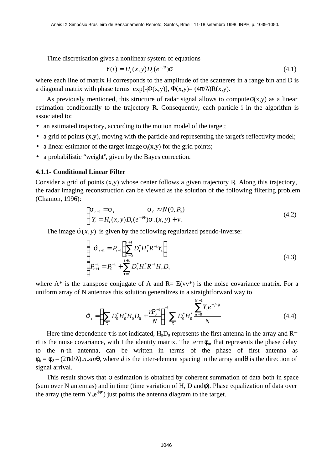Time discretisation gives a nonlinear system of equations

$$
Y(t) = Ht(x, y)Dt(e-jf)\mathbf{S}
$$
\n(4.1)

where each line of matrix H corresponds to the amplitude of the scatterers in a range bin and D is a diagonal matrix with phase terms  $exp[-\Phi(x,y)]$ ,  $\Phi(x,y)=(4\pi/\lambda)R(x,y)$ .

As previously mentioned, this structure of radar signal allows to compute  $\sigma(x,y)$  as a linear estimation conditionally to the trajectory  $R<sub>i</sub>$ . Consequently, each particle i in the algorithm is associated to:

- an estimated trajectory, according to the motion model of the target;
- a grid of points  $(x,y)$ , moving with the particle and representing the target's reflectivity model;
- a linear estimator of the target image  $\sigma_i(x,y)$  for the grid points;
- a probabilistic "weight", given by the Bayes correction.

#### **4.1.1- Conditional Linear Filter**

Consider a grid of points  $(x,y)$  whose center follows a given trajectory R. Along this trajectory, the radar imaging reconstruction can be viewed as the solution of the following filtering problem (Chamon, 1996):

$$
\begin{cases} \mathbf{S}_{t+1} = \mathbf{S}_t & \mathbf{S}_0 \approx N(0, P_0) \\ Y_t = H_t(x, y) D_t(e^{-jt}) \mathbf{S}_t(x, y) + v_t \end{cases}
$$
\n(4.2)

The image  $\hat{\mathbf{s}}(x, y)$  is given by the following regularized pseudo-inverse:

$$
\begin{cases}\n\hat{\mathbf{S}}_{t+1} = P_{t+1} \left( \sum_{t=0}^{t+1} D_t^* H_t^* R^{-1} Y_t \right) \\
P_{t+1}^{-1} = P_0^{-1} + \sum_{t=0}^{t+1} D_t^* H_t^* R^{-1} H_t D_t\n\end{cases}
$$
\n(4.3)

where  $A^*$  is the transpose conjugate of A and  $R = E(vv^*)$  is the noise covariance matrix. For a uniform array of N antennas this solution generalizes in a straightforward way to

$$
\hat{\mathbf{S}}_{t} = \left(\sum_{t} D_{0}^{*} H_{0}^{*} H_{0} D_{0} + \frac{r P_{0}^{-1}}{N}\right)^{-1} \sum_{t} D_{0}^{*} H_{0}^{*} \frac{\sum_{n=0}^{N-1} Y_{n} e^{-j n t}}{N}
$$
\n(4.4)

Here time dependence  $\tau$  is not indicated. H<sub>0</sub>D<sub>0</sub> represents the first antenna in the array and R= rI is the noise covariance, with I the identity matrix. The term  $\phi_n$ , that represents the phase delay to the n-th antenna, can be written in terms of the phase of first antenna as  $\phi_n = \phi_0 - (2\pi d/\lambda)$ .*n.sin* $\theta$ , where *d* is the inter-element spacing in the array and  $\theta$  is the direction of signal arrival.

This result shows that  $\sigma$  estimation is obtained by coherent summation of data both in space (sum over N antennas) and in time (time variation of  $H$ ,  $D$  and $\phi$ ). Phase equalization of data over the array (the term  $Y_n e^{-j\phi n}$ ) just points the antenna diagram to the target.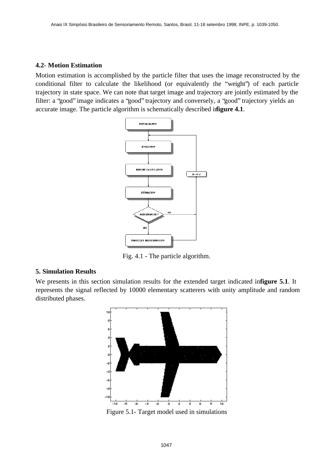## **4.2- Motion Estimation**

Motion estimation is accomplished by the particle filter that uses the image reconstructed by the conditional filter to calculate the likelihood (or equivalently the "weight") of each particle trajectory in state space. We can note that target image and trajectory are jointly estimated by the filter: a "good" image indicates a "good" trajectory and conversely, a "good" trajectory yields an accurate image. The particle algorithm is schematically described in **figure 4.1**.



Fig. 4.1 - The particle algorithm.

## **5. Simulation Results**

We presents in this section simulation results for the extended target indicated in**figure 5.1**. It represents the signal reflected by 10000 elementary scatterers with unity amplitude and random distributed phases.



Figure 5.1- Target model used in simulations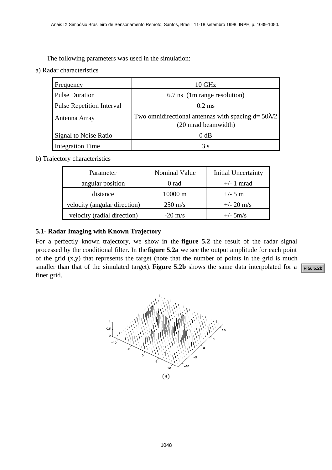a) Radar characteristics

| Frequency                        | 10 GHz                                                                             |                              |                            |  |
|----------------------------------|------------------------------------------------------------------------------------|------------------------------|----------------------------|--|
| <b>Pulse Duration</b>            |                                                                                    | 6.7 ns (1m range resolution) |                            |  |
| <b>Pulse Repetition Interval</b> | $0.2$ ms                                                                           |                              |                            |  |
| Antenna Array                    | Two omnidirectional antennas with spacing $d = 50\lambda/2$<br>(20 mrad beamwidth) |                              |                            |  |
| <b>Signal to Noise Ratio</b>     | $0$ dB                                                                             |                              |                            |  |
| <b>Integration Time</b>          | 3s                                                                                 |                              |                            |  |
| ijectory characteristics         |                                                                                    |                              |                            |  |
| Parameter                        |                                                                                    | <b>Nominal Value</b>         | <b>Initial Uncertainty</b> |  |
| angular position                 |                                                                                    | 0 rad                        | $+/- 1$ mrad               |  |
| distance                         |                                                                                    | 10000 m                      | $+/- 5 m$                  |  |
| velocity (angular direction)     |                                                                                    | $250 \text{ m/s}$            | $+/- 20$ m/s               |  |
| velocity (radial direction)      |                                                                                    | $-20$ m/s                    | $+/- 5m/s$                 |  |

b) Trajectory characteristics

| Parameter                    | Nominal Value     | Initial Uncertainty |
|------------------------------|-------------------|---------------------|
| angular position             | 0 rad             | $+/- 1$ mrad        |
| distance                     | $10000 \text{ m}$ | $+/- 5$ m           |
| velocity (angular direction) | $250 \text{ m/s}$ | $+/- 20$ m/s        |
| velocity (radial direction)  | $-20 \text{ m/s}$ | $+/-$ 5m/s          |

# **5.1- Radar Imaging with Known Trajectory**

For a perfectly known trajectory, we show in the **figure 5.2** the result of the radar signal processed by the conditional filter. In the **figure 5.2a** we see the output amplitude for each point of the grid (x,y) that represents the target (note that the number of points in the grid is much smaller than that of the simulated target). **Figure 5.2b** shows the same data interpolated for a finer grid.

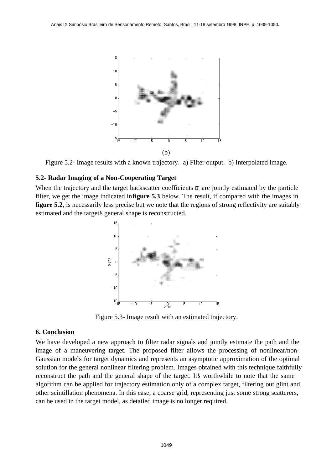<span id="page-10-0"></span>

Figure 5.2- Image results with a known trajectory. a) Filter output. b) Interpolated image.

## **5.2- Radar Imaging of a Non-Cooperating Target**

When the trajectory and the target backscatter coefficients  $\sigma_i$  are jointly estimated by the particle filter, we get the image indicated in **figure 5.3** below. The result, if compared with the images in **figure 5.2.** is necessarily less precise but we note that the regions of strong reflectivity are suitably estimated and the target's general shape is reconstructed.



Figure 5.3- Image result with an estimated trajectory.

## **6. Conclusion**

We have developed a new approach to filter radar signals and jointly estimate the path and the image of a maneuvering target. The proposed filter allows the processing of nonlinear/non-Gaussian models for target dynamics and represents an asymptotic approximation of the optimal solution for the general nonlinear filtering problem. Images obtained with this technique faithfully reconstruct the path and the general shape of the target. It's worthwhile to note that the same algorithm can be applied for trajectory estimation only of a complex target, filtering out glint and other scintillation phenomena. In this case, a coarse grid, representing just some strong scatterers, can be used in the target model, as detailed image is no longer required.